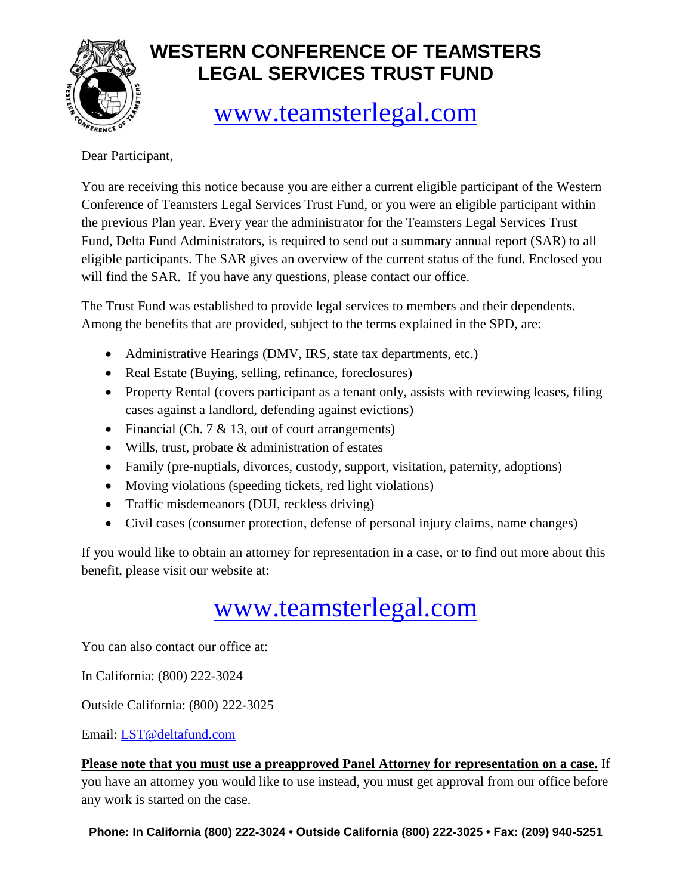

### **WESTERN CONFERENCE OF TEAMSTERS LEGAL SERVICES TRUST FUND**

## [www.teamsterlegal.com](http://www.teamsterlegal.com/)

Dear Participant,

You are receiving this notice because you are either a current eligible participant of the Western Conference of Teamsters Legal Services Trust Fund, or you were an eligible participant within the previous Plan year. Every year the administrator for the Teamsters Legal Services Trust Fund, Delta Fund Administrators, is required to send out a summary annual report (SAR) to all eligible participants. The SAR gives an overview of the current status of the fund. Enclosed you will find the SAR. If you have any questions, please contact our office.

The Trust Fund was established to provide legal services to members and their dependents. Among the benefits that are provided, subject to the terms explained in the SPD, are:

- Administrative Hearings (DMV, IRS, state tax departments, etc.)
- Real Estate (Buying, selling, refinance, foreclosures)
- Property Rental (covers participant as a tenant only, assists with reviewing leases, filing cases against a landlord, defending against evictions)
- Financial (Ch.  $7 < 13$ , out of court arrangements)
- Wills, trust, probate & administration of estates
- Family (pre-nuptials, divorces, custody, support, visitation, paternity, adoptions)
- Moving violations (speeding tickets, red light violations)
- Traffic misdemeanors (DUI, reckless driving)
- Civil cases (consumer protection, defense of personal injury claims, name changes)

If you would like to obtain an attorney for representation in a case, or to find out more about this benefit, please visit our website at:

# [www.teamsterlegal.com](http://www.teamsterlegal.com/)

You can also contact our office at:

In California: (800) 222-3024

Outside California: (800) 222-3025

Email: [LST@deltafund.com](mailto:LST@deltafund.com)

**Please note that you must use a preapproved Panel Attorney for representation on a case.** If you have an attorney you would like to use instead, you must get approval from our office before any work is started on the case.

**Phone: In California (800) 222-3024 • Outside California (800) 222-3025 • Fax: (209) 940-5251**